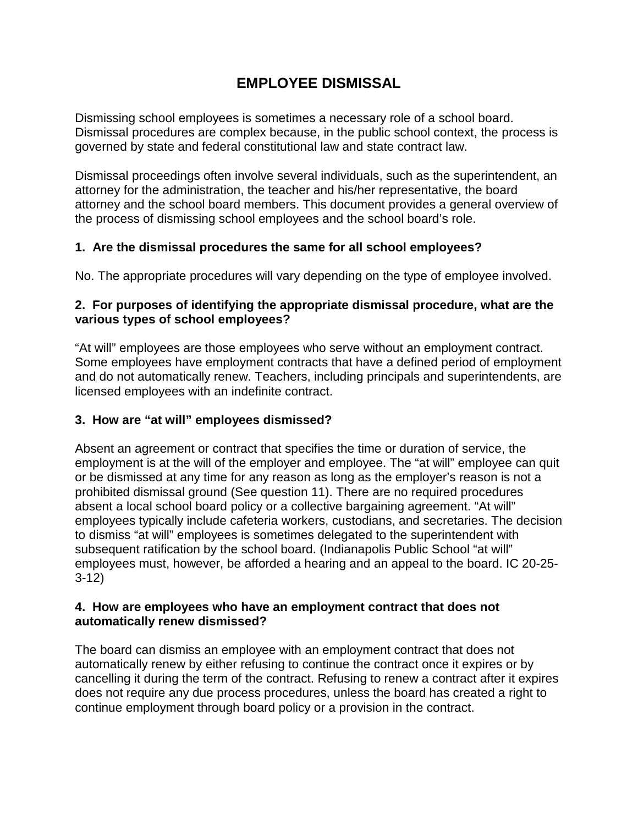# **EMPLOYEE DISMISSAL**

Dismissing school employees is sometimes a necessary role of a school board. Dismissal procedures are complex because, in the public school context, the process is governed by state and federal constitutional law and state contract law.

Dismissal proceedings often involve several individuals, such as the superintendent, an attorney for the administration, the teacher and his/her representative, the board attorney and the school board members. This document provides a general overview of the process of dismissing school employees and the school board's role.

#### **1. Are the dismissal procedures the same for all school employees?**

No. The appropriate procedures will vary depending on the type of employee involved.

#### **2. For purposes of identifying the appropriate dismissal procedure, what are the various types of school employees?**

"At will" employees are those employees who serve without an employment contract. Some employees have employment contracts that have a defined period of employment and do not automatically renew. Teachers, including principals and superintendents, are licensed employees with an indefinite contract.

## **3. How are "at will" employees dismissed?**

Absent an agreement or contract that specifies the time or duration of service, the employment is at the will of the employer and employee. The "at will" employee can quit or be dismissed at any time for any reason as long as the employer's reason is not a prohibited dismissal ground (See question 11). There are no required procedures absent a local school board policy or a collective bargaining agreement. "At will" employees typically include cafeteria workers, custodians, and secretaries. The decision to dismiss "at will" employees is sometimes delegated to the superintendent with subsequent ratification by the school board. (Indianapolis Public School "at will" employees must, however, be afforded a hearing and an appeal to the board. IC 20-25- 3-12)

#### **4. How are employees who have an employment contract that does not automatically renew dismissed?**

The board can dismiss an employee with an employment contract that does not automatically renew by either refusing to continue the contract once it expires or by cancelling it during the term of the contract. Refusing to renew a contract after it expires does not require any due process procedures, unless the board has created a right to continue employment through board policy or a provision in the contract.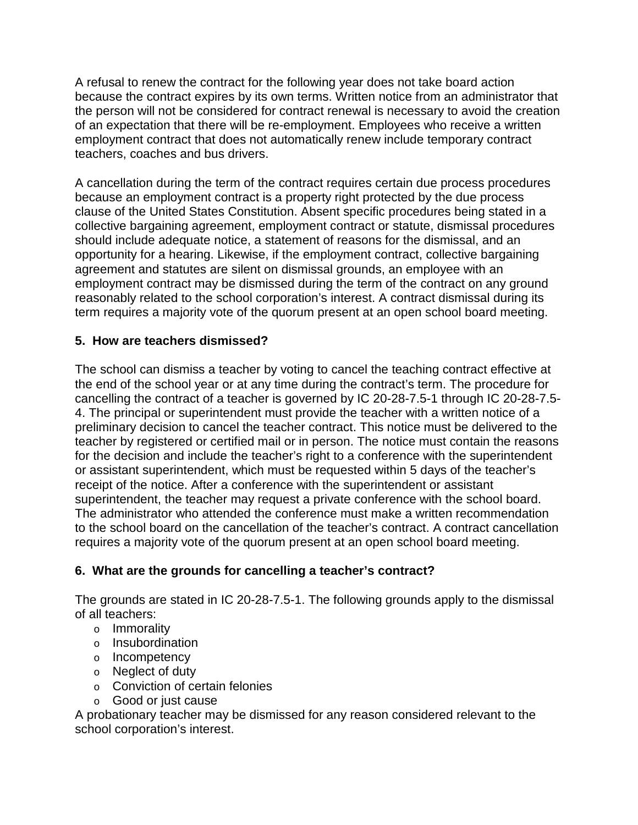A refusal to renew the contract for the following year does not take board action because the contract expires by its own terms. Written notice from an administrator that the person will not be considered for contract renewal is necessary to avoid the creation of an expectation that there will be re-employment. Employees who receive a written employment contract that does not automatically renew include temporary contract teachers, coaches and bus drivers.

A cancellation during the term of the contract requires certain due process procedures because an employment contract is a property right protected by the due process clause of the United States Constitution. Absent specific procedures being stated in a collective bargaining agreement, employment contract or statute, dismissal procedures should include adequate notice, a statement of reasons for the dismissal, and an opportunity for a hearing. Likewise, if the employment contract, collective bargaining agreement and statutes are silent on dismissal grounds, an employee with an employment contract may be dismissed during the term of the contract on any ground reasonably related to the school corporation's interest. A contract dismissal during its term requires a majority vote of the quorum present at an open school board meeting.

# **5. How are teachers dismissed?**

The school can dismiss a teacher by voting to cancel the teaching contract effective at the end of the school year or at any time during the contract's term. The procedure for cancelling the contract of a teacher is governed by IC 20-28-7.5-1 through IC 20-28-7.5- 4. The principal or superintendent must provide the teacher with a written notice of a preliminary decision to cancel the teacher contract. This notice must be delivered to the teacher by registered or certified mail or in person. The notice must contain the reasons for the decision and include the teacher's right to a conference with the superintendent or assistant superintendent, which must be requested within 5 days of the teacher's receipt of the notice. After a conference with the superintendent or assistant superintendent, the teacher may request a private conference with the school board. The administrator who attended the conference must make a written recommendation to the school board on the cancellation of the teacher's contract. A contract cancellation requires a majority vote of the quorum present at an open school board meeting.

## **6. What are the grounds for cancelling a teacher's contract?**

The grounds are stated in IC 20-28-7.5-1. The following grounds apply to the dismissal of all teachers:

- o Immorality
- o Insubordination
- o Incompetency
- o Neglect of duty
- o Conviction of certain felonies
- o Good or just cause

A probationary teacher may be dismissed for any reason considered relevant to the school corporation's interest.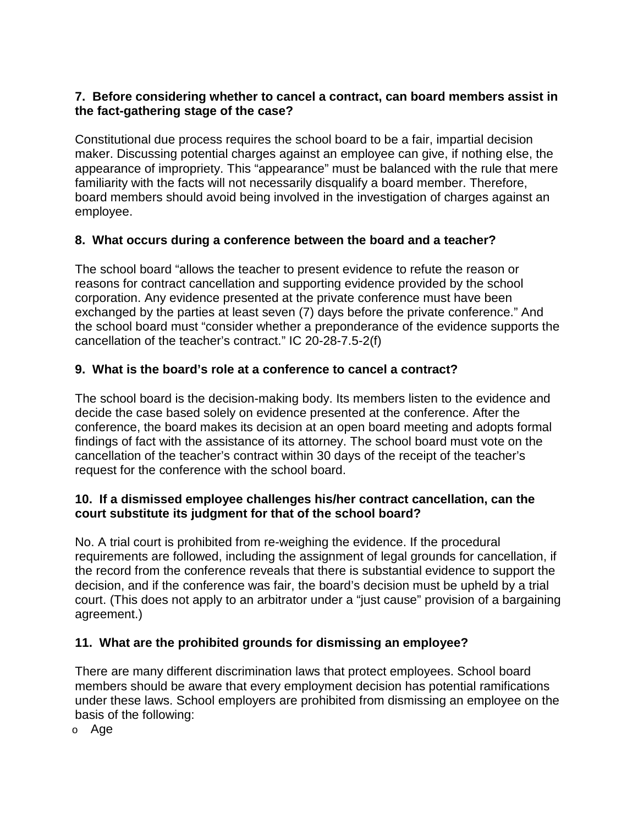## **7. Before considering whether to cancel a contract, can board members assist in the fact-gathering stage of the case?**

Constitutional due process requires the school board to be a fair, impartial decision maker. Discussing potential charges against an employee can give, if nothing else, the appearance of impropriety. This "appearance" must be balanced with the rule that mere familiarity with the facts will not necessarily disqualify a board member. Therefore, board members should avoid being involved in the investigation of charges against an employee.

# **8. What occurs during a conference between the board and a teacher?**

The school board "allows the teacher to present evidence to refute the reason or reasons for contract cancellation and supporting evidence provided by the school corporation. Any evidence presented at the private conference must have been exchanged by the parties at least seven (7) days before the private conference." And the school board must "consider whether a preponderance of the evidence supports the cancellation of the teacher's contract." IC 20-28-7.5-2(f)

# **9. What is the board's role at a conference to cancel a contract?**

The school board is the decision-making body. Its members listen to the evidence and decide the case based solely on evidence presented at the conference. After the conference, the board makes its decision at an open board meeting and adopts formal findings of fact with the assistance of its attorney. The school board must vote on the cancellation of the teacher's contract within 30 days of the receipt of the teacher's request for the conference with the school board.

#### **10. If a dismissed employee challenges his/her contract cancellation, can the court substitute its judgment for that of the school board?**

No. A trial court is prohibited from re-weighing the evidence. If the procedural requirements are followed, including the assignment of legal grounds for cancellation, if the record from the conference reveals that there is substantial evidence to support the decision, and if the conference was fair, the board's decision must be upheld by a trial court. (This does not apply to an arbitrator under a "just cause" provision of a bargaining agreement.)

## **11. What are the prohibited grounds for dismissing an employee?**

There are many different discrimination laws that protect employees. School board members should be aware that every employment decision has potential ramifications under these laws. School employers are prohibited from dismissing an employee on the basis of the following:

o Age